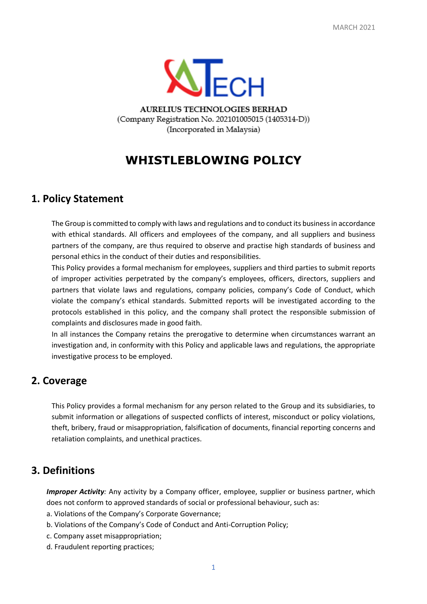

AURELIUS TECHNOLOGIES BERHAD (Company Registration No. 202101005015 (1405314-D)) (Incorporated in Malaysia)

# **WHISTLEBLOWING POLICY**

### **1. Policy Statement**

The Group is committed to comply with laws and regulations and to conduct its business in accordance with ethical standards. All officers and employees of the company, and all suppliers and business partners of the company, are thus required to observe and practise high standards of business and personal ethics in the conduct of their duties and responsibilities.

This Policy provides a formal mechanism for employees, suppliers and third parties to submit reports of improper activities perpetrated by the company's employees, officers, directors, suppliers and partners that violate laws and regulations, company policies, company's Code of Conduct, which violate the company's ethical standards. Submitted reports will be investigated according to the protocols established in this policy, and the company shall protect the responsible submission of complaints and disclosures made in good faith.

In all instances the Company retains the prerogative to determine when circumstances warrant an investigation and, in conformity with this Policy and applicable laws and regulations, the appropriate investigative process to be employed.

### **2. Coverage**

This Policy provides a formal mechanism for any person related to the Group and its subsidiaries, to submit information or allegations of suspected conflicts of interest, misconduct or policy violations, theft, bribery, fraud or misappropriation, falsification of documents, financial reporting concerns and retaliation complaints, and unethical practices.

### **3. Definitions**

*Improper Activity:* Any activity by a Company officer, employee, supplier or business partner, which does not conform to approved standards of social or professional behaviour, such as:

- a. Violations of the Company's Corporate Governance;
- b. Violations of the Company's Code of Conduct and Anti-Corruption Policy;
- c. Company asset misappropriation;
- d. Fraudulent reporting practices;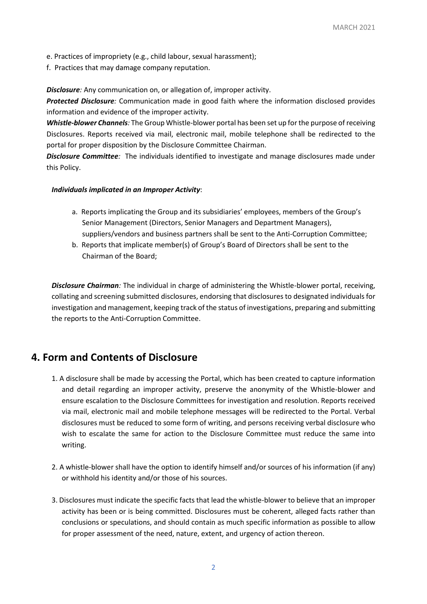- e. Practices of impropriety (e.g., child labour, sexual harassment);
- f. Practices that may damage company reputation.

**Disclosure**: Any communication on, or allegation of, improper activity.

*Protected Disclosure:* Communication made in good faith where the information disclosed provides information and evidence of the improper activity.

*Whistle-blower Channels:* The Group Whistle-blower portal has been set up for the purpose of receiving Disclosures. Reports received via mail, electronic mail, mobile telephone shall be redirected to the portal for proper disposition by the Disclosure Committee Chairman.

*Disclosure Committee:* The individuals identified to investigate and manage disclosures made under this Policy.

#### *Individuals implicated in an Improper Activity*:

- a. Reports implicating the Group and its subsidiaries' employees, members of the Group's Senior Management (Directors, Senior Managers and Department Managers), suppliers/vendors and business partners shall be sent to the Anti-Corruption Committee;
- b. Reports that implicate member(s) of Group's Board of Directors shall be sent to the Chairman of the Board;

*Disclosure Chairman:* The individual in charge of administering the Whistle-blower portal, receiving, collating and screening submitted disclosures, endorsing that disclosures to designated individuals for investigation and management, keeping track of the status of investigations, preparing and submitting the reports to the Anti-Corruption Committee.

### **4. Form and Contents of Disclosure**

- 1. A disclosure shall be made by accessing the Portal, which has been created to capture information and detail regarding an improper activity, preserve the anonymity of the Whistle-blower and ensure escalation to the Disclosure Committees for investigation and resolution. Reports received via mail, electronic mail and mobile telephone messages will be redirected to the Portal. Verbal disclosures must be reduced to some form of writing, and persons receiving verbal disclosure who wish to escalate the same for action to the Disclosure Committee must reduce the same into writing.
- 2. A whistle-blower shall have the option to identify himself and/or sources of his information (if any) or withhold his identity and/or those of his sources.
- 3. Disclosures must indicate the specific facts that lead the whistle-blower to believe that an improper activity has been or is being committed. Disclosures must be coherent, alleged facts rather than conclusions or speculations, and should contain as much specific information as possible to allow for proper assessment of the need, nature, extent, and urgency of action thereon.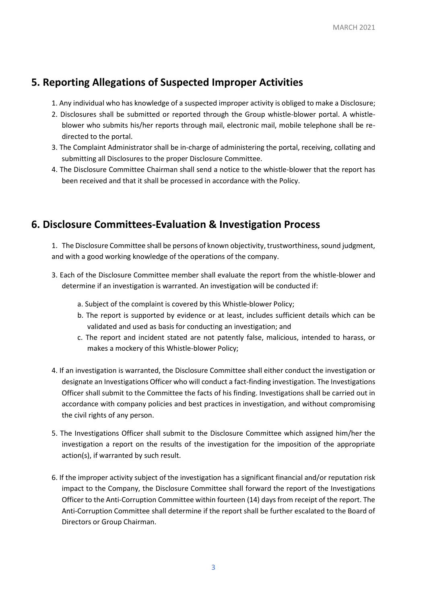### **5. Reporting Allegations of Suspected Improper Activities**

- 1. Any individual who has knowledge of a suspected improper activity is obliged to make a Disclosure;
- 2. Disclosures shall be submitted or reported through the Group whistle-blower portal. A whistleblower who submits his/her reports through mail, electronic mail, mobile telephone shall be redirected to the portal.
- 3. The Complaint Administrator shall be in-charge of administering the portal, receiving, collating and submitting all Disclosures to the proper Disclosure Committee.
- 4. The Disclosure Committee Chairman shall send a notice to the whistle-blower that the report has been received and that it shall be processed in accordance with the Policy.

## **6. Disclosure Committees-Evaluation & Investigation Process**

1. The Disclosure Committee shall be persons of known objectivity, trustworthiness, sound judgment, and with a good working knowledge of the operations of the company.

- 3. Each of the Disclosure Committee member shall evaluate the report from the whistle-blower and determine if an investigation is warranted. An investigation will be conducted if:
	- a. Subject of the complaint is covered by this Whistle-blower Policy;
	- b. The report is supported by evidence or at least, includes sufficient details which can be validated and used as basis for conducting an investigation; and
	- c. The report and incident stated are not patently false, malicious, intended to harass, or makes a mockery of this Whistle-blower Policy;
- 4. If an investigation is warranted, the Disclosure Committee shall either conduct the investigation or designate an Investigations Officer who will conduct a fact-finding investigation. The Investigations Officer shall submit to the Committee the facts of his finding. Investigations shall be carried out in accordance with company policies and best practices in investigation, and without compromising the civil rights of any person.
- 5. The Investigations Officer shall submit to the Disclosure Committee which assigned him/her the investigation a report on the results of the investigation for the imposition of the appropriate action(s), if warranted by such result.
- 6. If the improper activity subject of the investigation has a significant financial and/or reputation risk impact to the Company, the Disclosure Committee shall forward the report of the Investigations Officer to the Anti-Corruption Committee within fourteen (14) days from receipt of the report. The Anti-Corruption Committee shall determine if the report shall be further escalated to the Board of Directors or Group Chairman.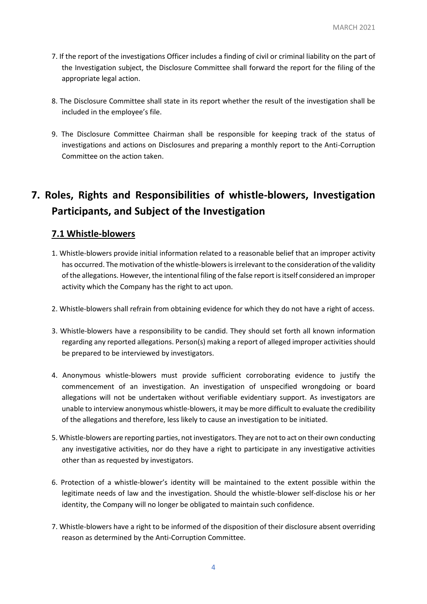- 7. If the report of the investigations Officer includes a finding of civil or criminal liability on the part of the Investigation subject, the Disclosure Committee shall forward the report for the filing of the appropriate legal action.
- 8. The Disclosure Committee shall state in its report whether the result of the investigation shall be included in the employee's file.
- 9. The Disclosure Committee Chairman shall be responsible for keeping track of the status of investigations and actions on Disclosures and preparing a monthly report to the Anti-Corruption Committee on the action taken.

# **7. Roles, Rights and Responsibilities of whistle-blowers, Investigation Participants, and Subject of the Investigation**

### **7.1 Whistle-blowers**

- 1. Whistle-blowers provide initial information related to a reasonable belief that an improper activity has occurred. The motivation of the whistle-blowers is irrelevant to the consideration of the validity of the allegations. However, the intentional filing of the false report is itself considered an improper activity which the Company has the right to act upon.
- 2. Whistle-blowers shall refrain from obtaining evidence for which they do not have a right of access.
- 3. Whistle-blowers have a responsibility to be candid. They should set forth all known information regarding any reported allegations. Person(s) making a report of alleged improper activities should be prepared to be interviewed by investigators.
- 4. Anonymous whistle-blowers must provide sufficient corroborating evidence to justify the commencement of an investigation. An investigation of unspecified wrongdoing or board allegations will not be undertaken without verifiable evidentiary support. As investigators are unable to interview anonymous whistle-blowers, it may be more difficult to evaluate the credibility of the allegations and therefore, less likely to cause an investigation to be initiated.
- 5. Whistle-blowers are reporting parties, not investigators. They are not to act on their own conducting any investigative activities, nor do they have a right to participate in any investigative activities other than as requested by investigators.
- 6. Protection of a whistle-blower's identity will be maintained to the extent possible within the legitimate needs of law and the investigation. Should the whistle-blower self-disclose his or her identity, the Company will no longer be obligated to maintain such confidence.
- 7. Whistle-blowers have a right to be informed of the disposition of their disclosure absent overriding reason as determined by the Anti-Corruption Committee.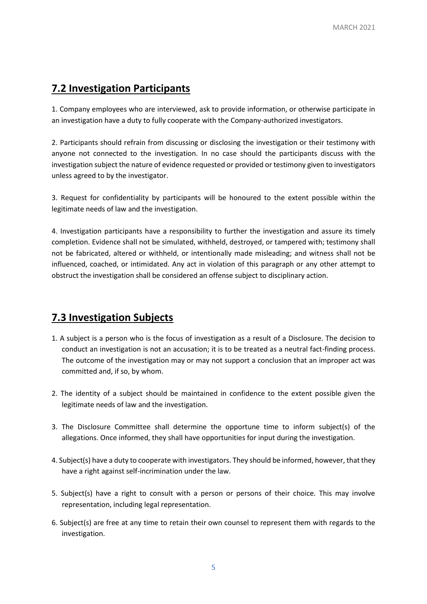### **7.2 Investigation Participants**

1. Company employees who are interviewed, ask to provide information, or otherwise participate in an investigation have a duty to fully cooperate with the Company-authorized investigators.

2. Participants should refrain from discussing or disclosing the investigation or their testimony with anyone not connected to the investigation. In no case should the participants discuss with the investigation subject the nature of evidence requested or provided or testimony given to investigators unless agreed to by the investigator.

3. Request for confidentiality by participants will be honoured to the extent possible within the legitimate needs of law and the investigation.

4. Investigation participants have a responsibility to further the investigation and assure its timely completion. Evidence shall not be simulated, withheld, destroyed, or tampered with; testimony shall not be fabricated, altered or withheld, or intentionally made misleading; and witness shall not be influenced, coached, or intimidated. Any act in violation of this paragraph or any other attempt to obstruct the investigation shall be considered an offense subject to disciplinary action.

## **7.3 Investigation Subjects**

- 1. A subject is a person who is the focus of investigation as a result of a Disclosure. The decision to conduct an investigation is not an accusation; it is to be treated as a neutral fact-finding process. The outcome of the investigation may or may not support a conclusion that an improper act was committed and, if so, by whom.
- 2. The identity of a subject should be maintained in confidence to the extent possible given the legitimate needs of law and the investigation.
- 3. The Disclosure Committee shall determine the opportune time to inform subject(s) of the allegations. Once informed, they shall have opportunities for input during the investigation.
- 4. Subject(s) have a duty to cooperate with investigators. They should be informed, however, that they have a right against self-incrimination under the law.
- 5. Subject(s) have a right to consult with a person or persons of their choice. This may involve representation, including legal representation.
- 6. Subject(s) are free at any time to retain their own counsel to represent them with regards to the investigation.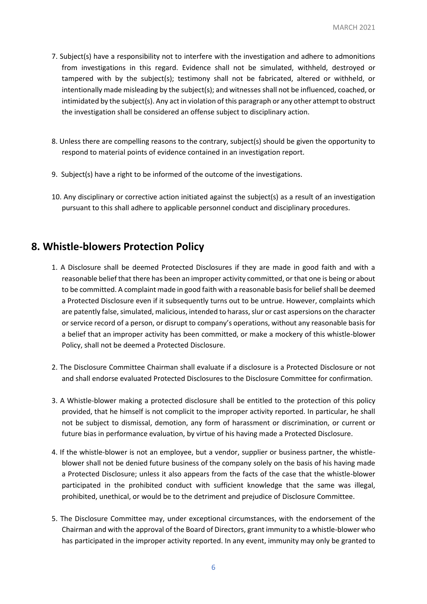- 7. Subject(s) have a responsibility not to interfere with the investigation and adhere to admonitions from investigations in this regard. Evidence shall not be simulated, withheld, destroyed or tampered with by the subject(s); testimony shall not be fabricated, altered or withheld, or intentionally made misleading by the subject(s); and witnesses shall not be influenced, coached, or intimidated by the subject(s). Any act in violation of this paragraph or any other attempt to obstruct the investigation shall be considered an offense subject to disciplinary action.
- 8. Unless there are compelling reasons to the contrary, subject(s) should be given the opportunity to respond to material points of evidence contained in an investigation report.
- 9. Subject(s) have a right to be informed of the outcome of the investigations.
- 10. Any disciplinary or corrective action initiated against the subject(s) as a result of an investigation pursuant to this shall adhere to applicable personnel conduct and disciplinary procedures.

### **8. Whistle-blowers Protection Policy**

- 1. A Disclosure shall be deemed Protected Disclosures if they are made in good faith and with a reasonable belief that there has been an improper activity committed, or that one is being or about to be committed. A complaint made in good faith with a reasonable basis for belief shall be deemed a Protected Disclosure even if it subsequently turns out to be untrue. However, complaints which are patently false, simulated, malicious, intended to harass, slur or cast aspersions on the character or service record of a person, or disrupt to company's operations, without any reasonable basis for a belief that an improper activity has been committed, or make a mockery of this whistle-blower Policy, shall not be deemed a Protected Disclosure.
- 2. The Disclosure Committee Chairman shall evaluate if a disclosure is a Protected Disclosure or not and shall endorse evaluated Protected Disclosures to the Disclosure Committee for confirmation.
- 3. A Whistle-blower making a protected disclosure shall be entitled to the protection of this policy provided, that he himself is not complicit to the improper activity reported. In particular, he shall not be subject to dismissal, demotion, any form of harassment or discrimination, or current or future bias in performance evaluation, by virtue of his having made a Protected Disclosure.
- 4. If the whistle-blower is not an employee, but a vendor, supplier or business partner, the whistleblower shall not be denied future business of the company solely on the basis of his having made a Protected Disclosure; unless it also appears from the facts of the case that the whistle-blower participated in the prohibited conduct with sufficient knowledge that the same was illegal, prohibited, unethical, or would be to the detriment and prejudice of Disclosure Committee.
- 5. The Disclosure Committee may, under exceptional circumstances, with the endorsement of the Chairman and with the approval of the Board of Directors, grant immunity to a whistle-blower who has participated in the improper activity reported. In any event, immunity may only be granted to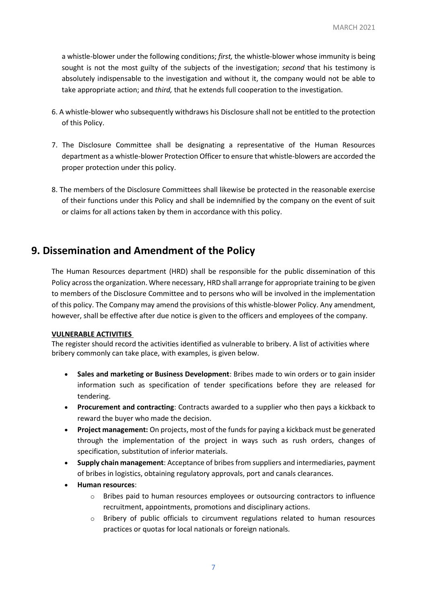a whistle-blower under the following conditions; *first,* the whistle-blower whose immunity is being sought is not the most guilty of the subjects of the investigation; *second* that his testimony is absolutely indispensable to the investigation and without it, the company would not be able to take appropriate action; and *third,* that he extends full cooperation to the investigation.

- 6. A whistle-blower who subsequently withdraws his Disclosure shall not be entitled to the protection of this Policy.
- 7. The Disclosure Committee shall be designating a representative of the Human Resources department as a whistle-blower Protection Officer to ensure that whistle-blowers are accorded the proper protection under this policy.
- 8. The members of the Disclosure Committees shall likewise be protected in the reasonable exercise of their functions under this Policy and shall be indemnified by the company on the event of suit or claims for all actions taken by them in accordance with this policy.

## **9. Dissemination and Amendment of the Policy**

The Human Resources department (HRD) shall be responsible for the public dissemination of this Policy across the organization. Where necessary, HRD shall arrange for appropriate training to be given to members of the Disclosure Committee and to persons who will be involved in the implementation of this policy. The Company may amend the provisions of this whistle-blower Policy. Any amendment, however, shall be effective after due notice is given to the officers and employees of the company.

#### **VULNERABLE ACTIVITIES**

The register should record the activities identified as vulnerable to bribery. A list of activities where bribery commonly can take place, with examples, is given below.

- **Sales and marketing or Business Development**: Bribes made to win orders or to gain insider information such as specification of tender specifications before they are released for tendering.
- **Procurement and contracting**: Contracts awarded to a supplier who then pays a kickback to reward the buyer who made the decision.
- **Project management:** On projects, most of the funds for paying a kickback must be generated through the implementation of the project in ways such as rush orders, changes of specification, substitution of inferior materials.
- **Supply chain management**: Acceptance of bribes from suppliers and intermediaries, payment of bribes in logistics, obtaining regulatory approvals, port and canals clearances.
- **Human resources**:
	- $\circ$  Bribes paid to human resources employees or outsourcing contractors to influence recruitment, appointments, promotions and disciplinary actions.
	- $\circ$  Bribery of public officials to circumvent regulations related to human resources practices or quotas for local nationals or foreign nationals.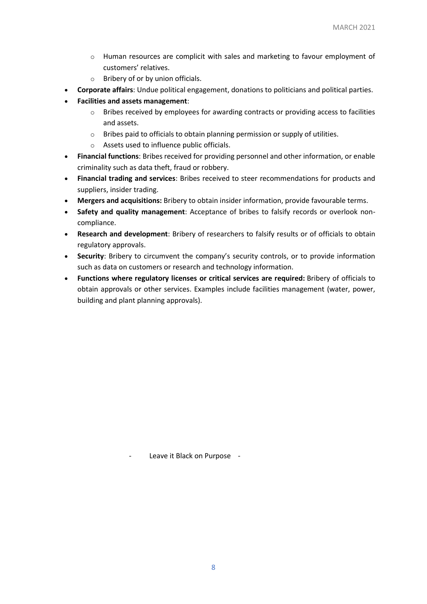- $\circ$  Human resources are complicit with sales and marketing to favour employment of customers' relatives.
- o Bribery of or by union officials.
- **Corporate affairs**: Undue political engagement, donations to politicians and political parties.
- **Facilities and assets management**:
	- $\circ$  Bribes received by employees for awarding contracts or providing access to facilities and assets.
	- o Bribes paid to officials to obtain planning permission or supply of utilities.
	- o Assets used to influence public officials.
- **Financial functions**: Bribes received for providing personnel and other information, or enable criminality such as data theft, fraud or robbery.
- **Financial trading and services**: Bribes received to steer recommendations for products and suppliers, insider trading.
- **Mergers and acquisitions:** Bribery to obtain insider information, provide favourable terms.
- **Safety and quality management**: Acceptance of bribes to falsify records or overlook noncompliance.
- **Research and development**: Bribery of researchers to falsify results or of officials to obtain regulatory approvals.
- **Security**: Bribery to circumvent the company's security controls, or to provide information such as data on customers or research and technology information.
- **Functions where regulatory licenses or critical services are required:** Bribery of officials to obtain approvals or other services. Examples include facilities management (water, power, building and plant planning approvals).

- Leave it Black on Purpose -